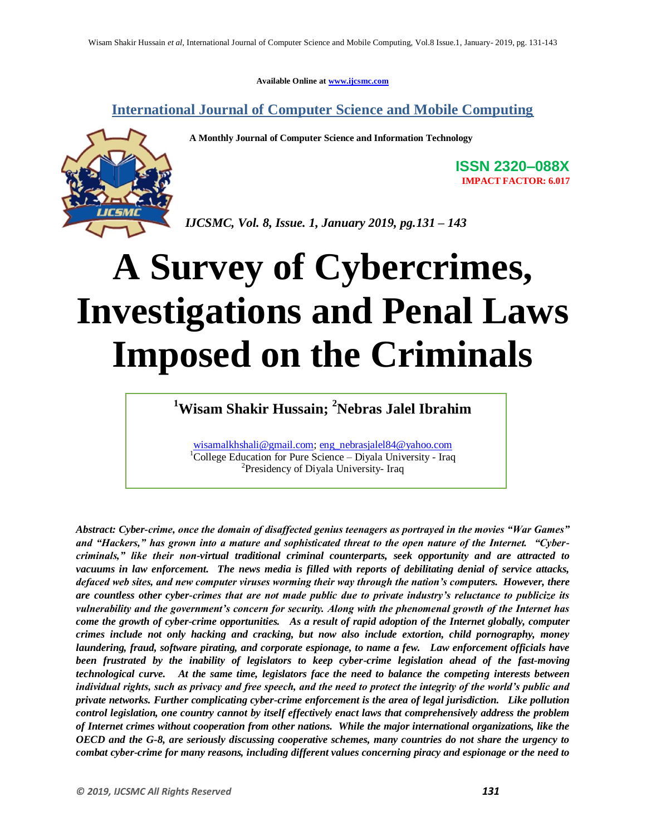**Available Online at www.ijcsmc.com**

**International Journal of Computer Science and Mobile Computing**

 **A Monthly Journal of Computer Science and Information Technology**



**ISSN 2320–088X IMPACT FACTOR: 6.017**

*IJCSMC, Vol. 8, Issue. 1, January 2019, pg.131 – 143*

# **A Survey of Cybercrimes, Investigations and Penal Laws Imposed on the Criminals**

**<sup>1</sup>Wisam Shakir Hussain; <sup>2</sup>Nebras Jalel Ibrahim**

wisamalkhshali@gmail.com; eng\_nebrasjalel84@yahoo.com <sup>1</sup>College Education for Pure Science – Diyala University - Iraq <sup>2</sup>Presidency of Diyala University- Iraq

*Abstract: Cyber-crime, once the domain of disaffected genius teenagers as portrayed in the movies "War Games" and "Hackers," has grown into a mature and sophisticated threat to the open nature of the Internet. "Cybercriminals," like their non-virtual traditional criminal counterparts, seek opportunity and are attracted to vacuums in law enforcement. The news media is filled with reports of debilitating denial of service attacks, defaced web sites, and new computer viruses worming their way through the nation's computers. However, there are countless other cyber-crimes that are not made public due to private industry's reluctance to publicize its vulnerability and the government's concern for security. Along with the phenomenal growth of the Internet has come the growth of cyber-crime opportunities. As a result of rapid adoption of the Internet globally, computer crimes include not only hacking and cracking, but now also include extortion, child pornography, money laundering, fraud, software pirating, and corporate espionage, to name a few. Law enforcement officials have been frustrated by the inability of legislators to keep cyber-crime legislation ahead of the fast-moving technological curve. At the same time, legislators face the need to balance the competing interests between individual rights, such as privacy and free speech, and the need to protect the integrity of the world's public and private networks. Further complicating cyber-crime enforcement is the area of legal jurisdiction. Like pollution control legislation, one country cannot by itself effectively enact laws that comprehensively address the problem of Internet crimes without cooperation from other nations. While the major international organizations, like the OECD and the G-8, are seriously discussing cooperative schemes, many countries do not share the urgency to combat cyber-crime for many reasons, including different values concerning piracy and espionage or the need to*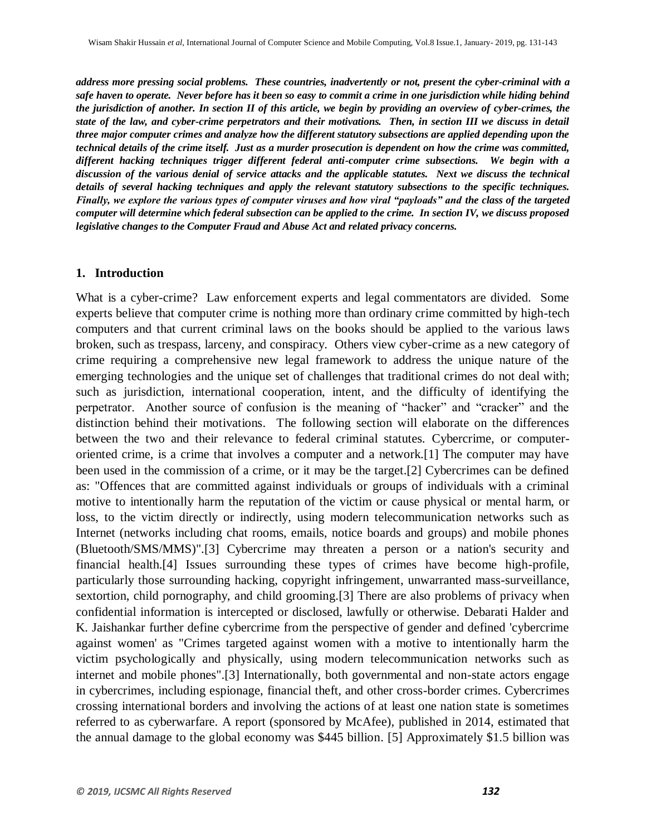*address more pressing social problems. These countries, inadvertently or not, present the cyber-criminal with a safe haven to operate. Never before has it been so easy to commit a crime in one jurisdiction while hiding behind the jurisdiction of another. In section II of this article, we begin by providing an overview of cyber-crimes, the state of the law, and cyber-crime perpetrators and their motivations. Then, in section III we discuss in detail three major computer crimes and analyze how the different statutory subsections are applied depending upon the technical details of the crime itself. Just as a murder prosecution is dependent on how the crime was committed, different hacking techniques trigger different federal anti-computer crime subsections. We begin with a discussion of the various denial of service attacks and the applicable statutes. Next we discuss the technical details of several hacking techniques and apply the relevant statutory subsections to the specific techniques. Finally, we explore the various types of computer viruses and how viral "payloads" and the class of the targeted computer will determine which federal subsection can be applied to the crime. In section IV, we discuss proposed legislative changes to the Computer Fraud and Abuse Act and related privacy concerns.* 

#### **1. Introduction**

What is a cyber-crime? Law enforcement experts and legal commentators are divided. Some experts believe that computer crime is nothing more than ordinary crime committed by high-tech computers and that current criminal laws on the books should be applied to the various laws broken, such as trespass, larceny, and conspiracy. Others view cyber-crime as a new category of crime requiring a comprehensive new legal framework to address the unique nature of the emerging technologies and the unique set of challenges that traditional crimes do not deal with; such as jurisdiction, international cooperation, intent, and the difficulty of identifying the perpetrator. Another source of confusion is the meaning of "hacker" and "cracker" and the distinction behind their motivations. The following section will elaborate on the differences between the two and their relevance to federal criminal statutes. Cybercrime, or computeroriented crime, is a crime that involves a computer and a network.[1] The computer may have been used in the commission of a crime, or it may be the target.[2] Cybercrimes can be defined as: "Offences that are committed against individuals or groups of individuals with a criminal motive to intentionally harm the reputation of the victim or cause physical or mental harm, or loss, to the victim directly or indirectly, using modern telecommunication networks such as Internet (networks including chat rooms, emails, notice boards and groups) and mobile phones (Bluetooth/SMS/MMS)".[3] Cybercrime may threaten a person or a nation's security and financial health.[4] Issues surrounding these types of crimes have become high-profile, particularly those surrounding hacking, copyright infringement, unwarranted mass-surveillance, sextortion, child pornography, and child grooming.[3] There are also problems of privacy when confidential information is intercepted or disclosed, lawfully or otherwise. Debarati Halder and K. Jaishankar further define cybercrime from the perspective of gender and defined 'cybercrime against women' as "Crimes targeted against women with a motive to intentionally harm the victim psychologically and physically, using modern telecommunication networks such as internet and mobile phones".[3] Internationally, both governmental and non-state actors engage in cybercrimes, including espionage, financial theft, and other cross-border crimes. Cybercrimes crossing international borders and involving the actions of at least one nation state is sometimes referred to as cyberwarfare. A report (sponsored by McAfee), published in 2014, estimated that the annual damage to the global economy was \$445 billion. [5] Approximately \$1.5 billion was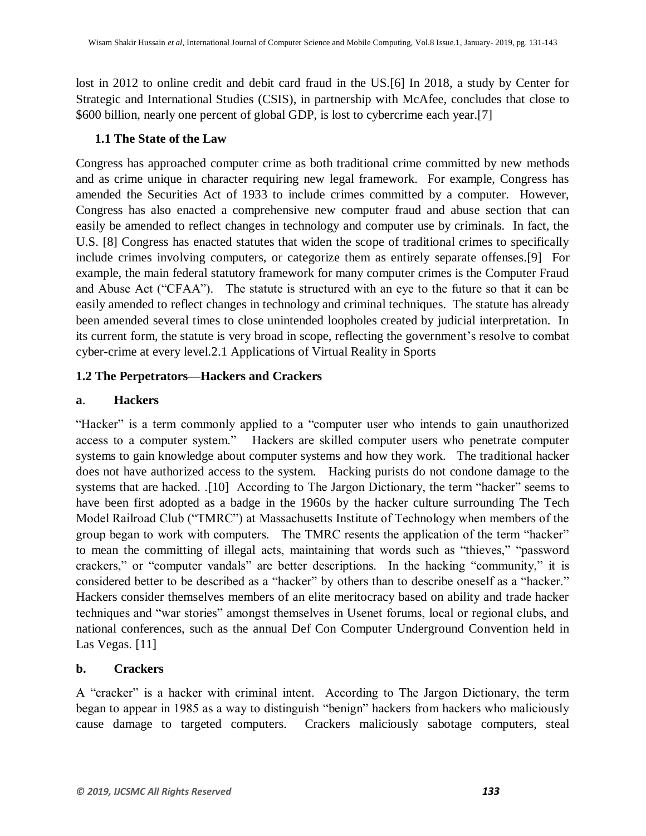lost in 2012 to online credit and debit card fraud in the US.[6] In 2018, a study by Center for Strategic and International Studies (CSIS), in partnership with McAfee, concludes that close to \$600 billion, nearly one percent of global GDP, is lost to cybercrime each year.[7]

# **1.1 The State of the Law**

Congress has approached computer crime as both traditional crime committed by new methods and as crime unique in character requiring new legal framework. For example, Congress has amended the Securities Act of 1933 to include crimes committed by a computer. However, Congress has also enacted a comprehensive new computer fraud and abuse section that can easily be amended to reflect changes in technology and computer use by criminals. In fact, the U.S. [8] Congress has enacted statutes that widen the scope of traditional crimes to specifically include crimes involving computers, or categorize them as entirely separate offenses.[9] For example, the main federal statutory framework for many computer crimes is the Computer Fraud and Abuse Act ("CFAA"). The statute is structured with an eye to the future so that it can be easily amended to reflect changes in technology and criminal techniques. The statute has already been amended several times to close unintended loopholes created by judicial interpretation. In its current form, the statute is very broad in scope, reflecting the government's resolve to combat cyber-crime at every level.2.1 Applications of Virtual Reality in Sports

# **1.2 The Perpetrators—Hackers and Crackers**

# **a**. **Hackers**

"Hacker" is a term commonly applied to a "computer user who intends to gain unauthorized access to a computer system." Hackers are skilled computer users who penetrate computer systems to gain knowledge about computer systems and how they work. The traditional hacker does not have authorized access to the system. Hacking purists do not condone damage to the systems that are hacked. .[10] According to The Jargon Dictionary, the term "hacker" seems to have been first adopted as a badge in the 1960s by the hacker culture surrounding The Tech Model Railroad Club ("TMRC") at Massachusetts Institute of Technology when members of the group began to work with computers. The TMRC resents the application of the term "hacker" to mean the committing of illegal acts, maintaining that words such as "thieves," "password crackers," or "computer vandals" are better descriptions. In the hacking "community," it is considered better to be described as a "hacker" by others than to describe oneself as a "hacker." Hackers consider themselves members of an elite meritocracy based on ability and trade hacker techniques and "war stories" amongst themselves in Usenet forums, local or regional clubs, and national conferences, such as the annual Def Con Computer Underground Convention held in Las Vegas. [11]

# **b. Crackers**

A "cracker" is a hacker with criminal intent. According to The Jargon Dictionary, the term began to appear in 1985 as a way to distinguish "benign" hackers from hackers who maliciously cause damage to targeted computers. Crackers maliciously sabotage computers, steal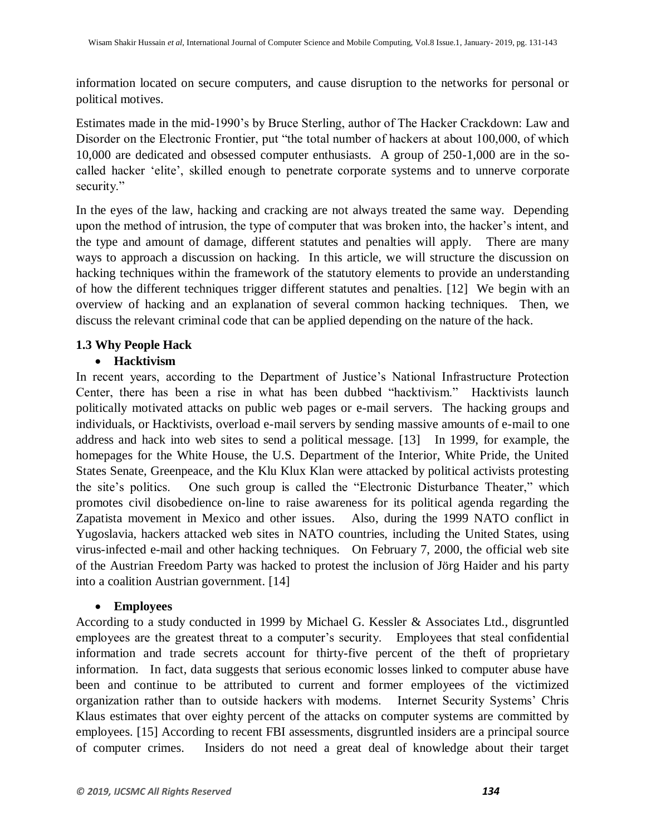information located on secure computers, and cause disruption to the networks for personal or political motives.

Estimates made in the mid-1990's by Bruce Sterling, author of The Hacker Crackdown: Law and Disorder on the Electronic Frontier, put "the total number of hackers at about 100,000, of which 10,000 are dedicated and obsessed computer enthusiasts. A group of 250-1,000 are in the socalled hacker 'elite', skilled enough to penetrate corporate systems and to unnerve corporate security."

In the eyes of the law, hacking and cracking are not always treated the same way. Depending upon the method of intrusion, the type of computer that was broken into, the hacker's intent, and the type and amount of damage, different statutes and penalties will apply. There are many ways to approach a discussion on hacking. In this article, we will structure the discussion on hacking techniques within the framework of the statutory elements to provide an understanding of how the different techniques trigger different statutes and penalties. [12] We begin with an overview of hacking and an explanation of several common hacking techniques. Then, we discuss the relevant criminal code that can be applied depending on the nature of the hack.

# **1.3 Why People Hack**

# **Hacktivism**

In recent years, according to the Department of Justice's National Infrastructure Protection Center, there has been a rise in what has been dubbed "hacktivism." Hacktivists launch politically motivated attacks on public web pages or e-mail servers. The hacking groups and individuals, or Hacktivists, overload e-mail servers by sending massive amounts of e-mail to one address and hack into web sites to send a political message. [13] In 1999, for example, the homepages for the White House, the U.S. Department of the Interior, White Pride, the United States Senate, Greenpeace, and the Klu Klux Klan were attacked by political activists protesting the site's politics. One such group is called the "Electronic Disturbance Theater," which promotes civil disobedience on-line to raise awareness for its political agenda regarding the Zapatista movement in Mexico and other issues. Also, during the 1999 NATO conflict in Yugoslavia, hackers attacked web sites in NATO countries, including the United States, using virus-infected e-mail and other hacking techniques. On February 7, 2000, the official web site of the Austrian Freedom Party was hacked to protest the inclusion of Jörg Haider and his party into a coalition Austrian government. [14]

#### **Employees**

According to a study conducted in 1999 by Michael G. Kessler & Associates Ltd., disgruntled employees are the greatest threat to a computer's security. Employees that steal confidential information and trade secrets account for thirty-five percent of the theft of proprietary information. In fact, data suggests that serious economic losses linked to computer abuse have been and continue to be attributed to current and former employees of the victimized organization rather than to outside hackers with modems. Internet Security Systems' Chris Klaus estimates that over eighty percent of the attacks on computer systems are committed by employees. [15] According to recent FBI assessments, disgruntled insiders are a principal source of computer crimes. Insiders do not need a great deal of knowledge about their target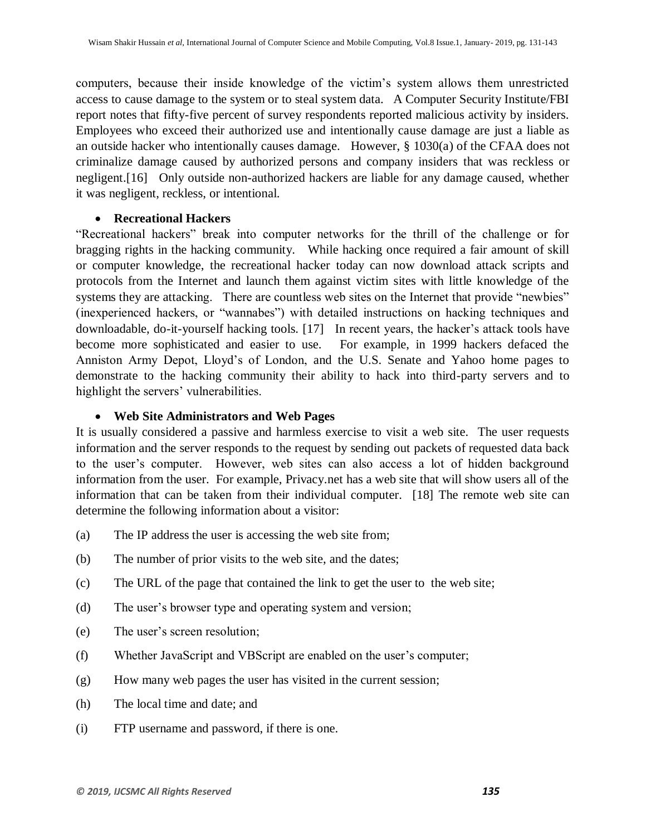computers, because their inside knowledge of the victim's system allows them unrestricted access to cause damage to the system or to steal system data. A Computer Security Institute/FBI report notes that fifty-five percent of survey respondents reported malicious activity by insiders. Employees who exceed their authorized use and intentionally cause damage are just a liable as an outside hacker who intentionally causes damage. However, § 1030(a) of the CFAA does not criminalize damage caused by authorized persons and company insiders that was reckless or negligent.[16] Only outside non-authorized hackers are liable for any damage caused, whether it was negligent, reckless, or intentional.

#### **Recreational Hackers**

"Recreational hackers" break into computer networks for the thrill of the challenge or for bragging rights in the hacking community. While hacking once required a fair amount of skill or computer knowledge, the recreational hacker today can now download attack scripts and protocols from the Internet and launch them against victim sites with little knowledge of the systems they are attacking. There are countless web sites on the Internet that provide "newbies" (inexperienced hackers, or "wannabes") with detailed instructions on hacking techniques and downloadable, do-it-yourself hacking tools. [17] In recent years, the hacker's attack tools have become more sophisticated and easier to use. For example, in 1999 hackers defaced the Anniston Army Depot, Lloyd's of London, and the U.S. Senate and Yahoo home pages to demonstrate to the hacking community their ability to hack into third-party servers and to highlight the servers' vulnerabilities.

#### **Web Site Administrators and Web Pages**

It is usually considered a passive and harmless exercise to visit a web site. The user requests information and the server responds to the request by sending out packets of requested data back to the user's computer. However, web sites can also access a lot of hidden background information from the user. For example, Privacy.net has a web site that will show users all of the information that can be taken from their individual computer. [18] The remote web site can determine the following information about a visitor:

- (a) The IP address the user is accessing the web site from;
- (b) The number of prior visits to the web site, and the dates;
- (c) The URL of the page that contained the link to get the user to the web site;
- (d) The user's browser type and operating system and version;
- (e) The user's screen resolution;
- (f) Whether JavaScript and VBScript are enabled on the user's computer;
- (g) How many web pages the user has visited in the current session;
- (h) The local time and date; and
- (i) FTP username and password, if there is one.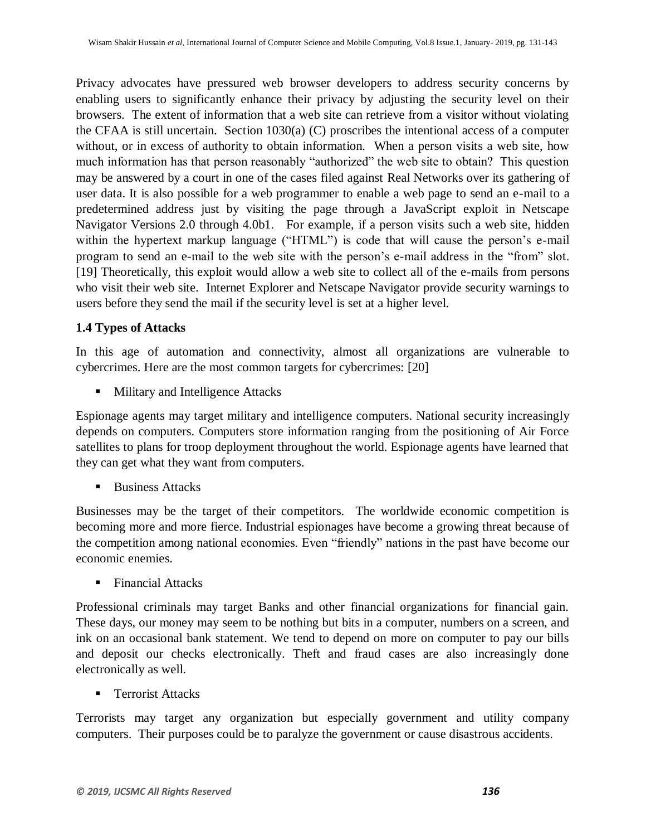Privacy advocates have pressured web browser developers to address security concerns by enabling users to significantly enhance their privacy by adjusting the security level on their browsers. The extent of information that a web site can retrieve from a visitor without violating the CFAA is still uncertain. Section 1030(a) (C) proscribes the intentional access of a computer without, or in excess of authority to obtain information. When a person visits a web site, how much information has that person reasonably "authorized" the web site to obtain? This question may be answered by a court in one of the cases filed against Real Networks over its gathering of user data. It is also possible for a web programmer to enable a web page to send an e-mail to a predetermined address just by visiting the page through a JavaScript exploit in Netscape Navigator Versions 2.0 through 4.0b1. For example, if a person visits such a web site, hidden within the hypertext markup language ("HTML") is code that will cause the person's e-mail program to send an e-mail to the web site with the person's e-mail address in the "from" slot. [19] Theoretically, this exploit would allow a web site to collect all of the e-mails from persons who visit their web site. Internet Explorer and Netscape Navigator provide security warnings to users before they send the mail if the security level is set at a higher level.

# **1.4 Types of Attacks**

In this age of automation and connectivity, almost all organizations are vulnerable to cybercrimes. Here are the most common targets for cybercrimes: [20]

**Military and Intelligence Attacks** 

Espionage agents may target military and intelligence computers. National security increasingly depends on computers. Computers store information ranging from the positioning of Air Force satellites to plans for troop deployment throughout the world. Espionage agents have learned that they can get what they want from computers.

Business Attacks

Businesses may be the target of their competitors. The worldwide economic competition is becoming more and more fierce. Industrial espionages have become a growing threat because of the competition among national economies. Even "friendly" nations in the past have become our economic enemies.

Financial Attacks

Professional criminals may target Banks and other financial organizations for financial gain. These days, our money may seem to be nothing but bits in a computer, numbers on a screen, and ink on an occasional bank statement. We tend to depend on more on computer to pay our bills and deposit our checks electronically. Theft and fraud cases are also increasingly done electronically as well.

■ Terrorist Attacks

Terrorists may target any organization but especially government and utility company computers. Their purposes could be to paralyze the government or cause disastrous accidents.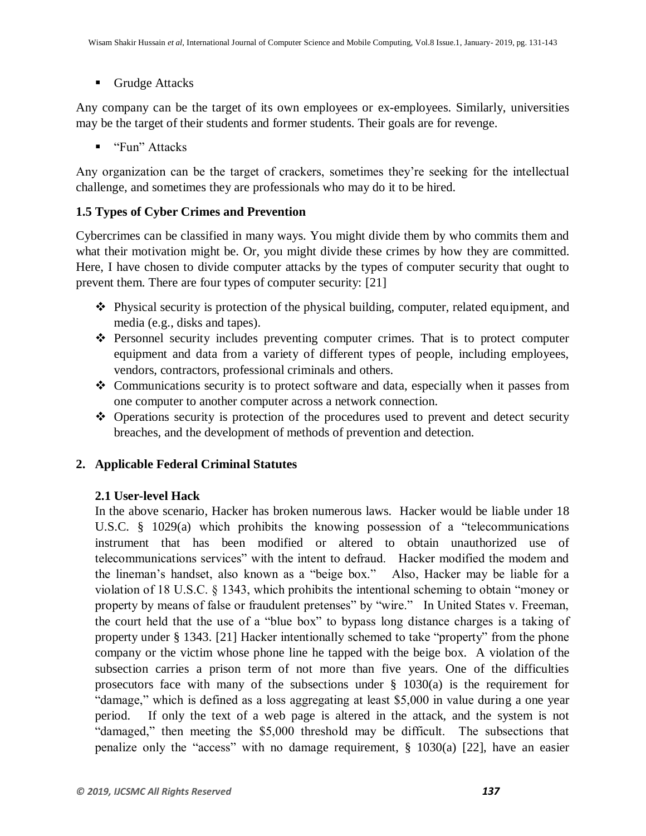■ Grudge Attacks

Any company can be the target of its own employees or ex-employees. Similarly, universities may be the target of their students and former students. Their goals are for revenge.

■ "Fun" Attacks

Any organization can be the target of crackers, sometimes they're seeking for the intellectual challenge, and sometimes they are professionals who may do it to be hired.

# **1.5 Types of Cyber Crimes and Prevention**

Cybercrimes can be classified in many ways. You might divide them by who commits them and what their motivation might be. Or, you might divide these crimes by how they are committed. Here, I have chosen to divide computer attacks by the types of computer security that ought to prevent them. There are four types of computer security: [21]

- Physical security is protection of the physical building, computer, related equipment, and media (e.g., disks and tapes).
- Personnel security includes preventing computer crimes. That is to protect computer equipment and data from a variety of different types of people, including employees, vendors, contractors, professional criminals and others.
- $\triangle$  Communications security is to protect software and data, especially when it passes from one computer to another computer across a network connection.
- Operations security is protection of the procedures used to prevent and detect security breaches, and the development of methods of prevention and detection.

# **2. Applicable Federal Criminal Statutes**

# **2.1 User-level Hack**

In the above scenario, Hacker has broken numerous laws. Hacker would be liable under 18 U.S.C.  $\S$  1029(a) which prohibits the knowing possession of a "telecommunications" instrument that has been modified or altered to obtain unauthorized use of telecommunications services‖ with the intent to defraud. Hacker modified the modem and the lineman's handset, also known as a "beige box." Also, Hacker may be liable for a violation of 18 U.S.C.  $\S$  1343, which prohibits the intentional scheming to obtain "money or property by means of false or fraudulent pretenses" by "wire." In United States v. Freeman, the court held that the use of a "blue box" to bypass long distance charges is a taking of property under  $\S 1343$ . [21] Hacker intentionally schemed to take "property" from the phone company or the victim whose phone line he tapped with the beige box. A violation of the subsection carries a prison term of not more than five years. One of the difficulties prosecutors face with many of the subsections under  $\S$  1030(a) is the requirement for "damage," which is defined as a loss aggregating at least \$5,000 in value during a one year period. If only the text of a web page is altered in the attack, and the system is not "damaged," then meeting the \$5,000 threshold may be difficult. The subsections that penalize only the "access" with no damage requirement,  $\S$  1030(a) [22], have an easier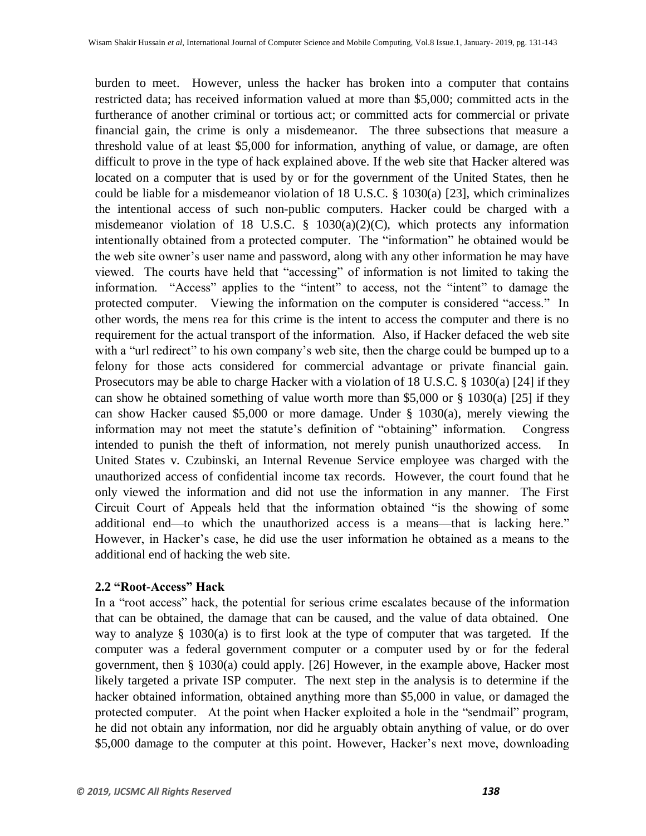burden to meet. However, unless the hacker has broken into a computer that contains restricted data; has received information valued at more than \$5,000; committed acts in the furtherance of another criminal or tortious act; or committed acts for commercial or private financial gain, the crime is only a misdemeanor. The three subsections that measure a threshold value of at least \$5,000 for information, anything of value, or damage, are often difficult to prove in the type of hack explained above. If the web site that Hacker altered was located on a computer that is used by or for the government of the United States, then he could be liable for a misdemeanor violation of 18 U.S.C. § 1030(a) [23], which criminalizes the intentional access of such non-public computers. Hacker could be charged with a misdemeanor violation of 18 U.S.C. § 1030(a)(2)(C), which protects any information intentionally obtained from a protected computer. The "information" he obtained would be the web site owner's user name and password, along with any other information he may have viewed. The courts have held that "accessing" of information is not limited to taking the information. "Access" applies to the "intent" to access, not the "intent" to damage the protected computer. Viewing the information on the computer is considered "access." In other words, the mens rea for this crime is the intent to access the computer and there is no requirement for the actual transport of the information. Also, if Hacker defaced the web site with a "url redirect" to his own company's web site, then the charge could be bumped up to a felony for those acts considered for commercial advantage or private financial gain. Prosecutors may be able to charge Hacker with a violation of 18 U.S.C. § 1030(a) [24] if they can show he obtained something of value worth more than \$5,000 or § 1030(a) [25] if they can show Hacker caused \$5,000 or more damage. Under § 1030(a), merely viewing the information may not meet the statute's definition of "obtaining" information. Congress intended to punish the theft of information, not merely punish unauthorized access. In United States v. Czubinski, an Internal Revenue Service employee was charged with the unauthorized access of confidential income tax records. However, the court found that he only viewed the information and did not use the information in any manner. The First Circuit Court of Appeals held that the information obtained "is the showing of some additional end—to which the unauthorized access is a means—that is lacking here." However, in Hacker's case, he did use the user information he obtained as a means to the additional end of hacking the web site.

#### **2.2 "Root-Access" Hack**

In a "root access" hack, the potential for serious crime escalates because of the information that can be obtained, the damage that can be caused, and the value of data obtained. One way to analyze § 1030(a) is to first look at the type of computer that was targeted. If the computer was a federal government computer or a computer used by or for the federal government, then § 1030(a) could apply. [26] However, in the example above, Hacker most likely targeted a private ISP computer. The next step in the analysis is to determine if the hacker obtained information, obtained anything more than \$5,000 in value, or damaged the protected computer. At the point when Hacker exploited a hole in the "sendmail" program, he did not obtain any information, nor did he arguably obtain anything of value, or do over \$5,000 damage to the computer at this point. However, Hacker's next move, downloading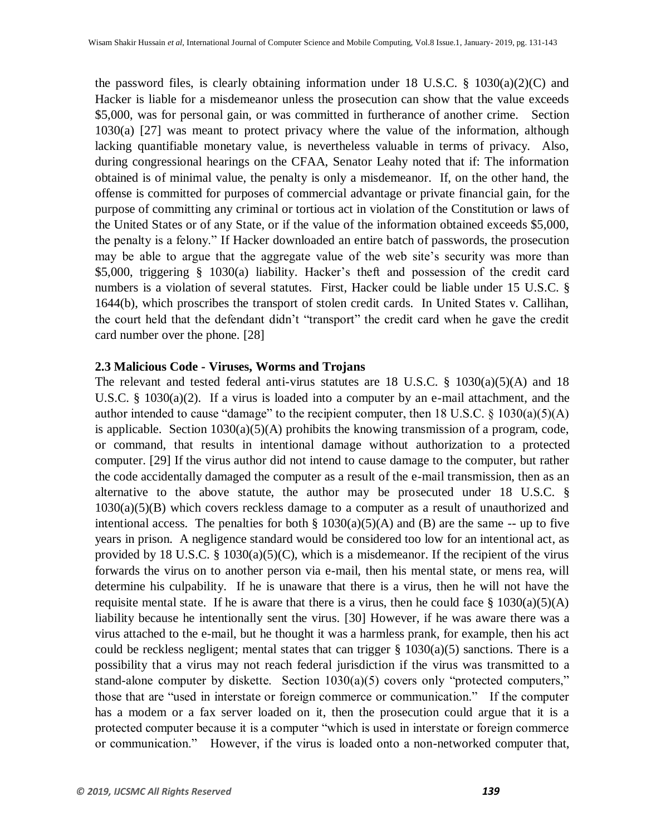the password files, is clearly obtaining information under 18 U.S.C.  $\S$  1030(a)(2)(C) and Hacker is liable for a misdemeanor unless the prosecution can show that the value exceeds \$5,000, was for personal gain, or was committed in furtherance of another crime. Section 1030(a) [27] was meant to protect privacy where the value of the information, although lacking quantifiable monetary value, is nevertheless valuable in terms of privacy. Also, during congressional hearings on the CFAA, Senator Leahy noted that if: The information obtained is of minimal value, the penalty is only a misdemeanor. If, on the other hand, the offense is committed for purposes of commercial advantage or private financial gain, for the purpose of committing any criminal or tortious act in violation of the Constitution or laws of the United States or of any State, or if the value of the information obtained exceeds \$5,000, the penalty is a felony.‖ If Hacker downloaded an entire batch of passwords, the prosecution may be able to argue that the aggregate value of the web site's security was more than \$5,000, triggering § 1030(a) liability. Hacker's theft and possession of the credit card numbers is a violation of several statutes. First, Hacker could be liable under 15 U.S.C. § 1644(b), which proscribes the transport of stolen credit cards. In United States v. Callihan, the court held that the defendant didn't "transport" the credit card when he gave the credit card number over the phone. [28]

#### **2.3 Malicious Code - Viruses, Worms and Trojans**

The relevant and tested federal anti-virus statutes are 18 U.S.C.  $\S$  1030(a)(5)(A) and 18 U.S.C. § 1030(a)(2). If a virus is loaded into a computer by an e-mail attachment, and the author intended to cause "damage" to the recipient computer, then 18 U.S.C.  $\S$  1030(a)(5)(A) is applicable. Section 1030(a)(5)(A) prohibits the knowing transmission of a program, code, or command, that results in intentional damage without authorization to a protected computer. [29] If the virus author did not intend to cause damage to the computer, but rather the code accidentally damaged the computer as a result of the e-mail transmission, then as an alternative to the above statute, the author may be prosecuted under 18 U.S.C. §  $1030(a)(5)(B)$  which covers reckless damage to a computer as a result of unauthorized and intentional access. The penalties for both  $\S$  1030(a)(5)(A) and (B) are the same -- up to five years in prison. A negligence standard would be considered too low for an intentional act, as provided by 18 U.S.C.  $\S$  1030(a)(5)(C), which is a misdemeanor. If the recipient of the virus forwards the virus on to another person via e-mail, then his mental state, or mens rea, will determine his culpability. If he is unaware that there is a virus, then he will not have the requisite mental state. If he is aware that there is a virus, then he could face  $\S 1030(a)(5)(A)$ liability because he intentionally sent the virus. [30] However, if he was aware there was a virus attached to the e-mail, but he thought it was a harmless prank, for example, then his act could be reckless negligent; mental states that can trigger  $\S$  1030(a)(5) sanctions. There is a possibility that a virus may not reach federal jurisdiction if the virus was transmitted to a stand-alone computer by diskette. Section  $1030(a)(5)$  covers only "protected computers," those that are "used in interstate or foreign commerce or communication." If the computer has a modem or a fax server loaded on it, then the prosecution could argue that it is a protected computer because it is a computer "which is used in interstate or foreign commerce or communication." However, if the virus is loaded onto a non-networked computer that,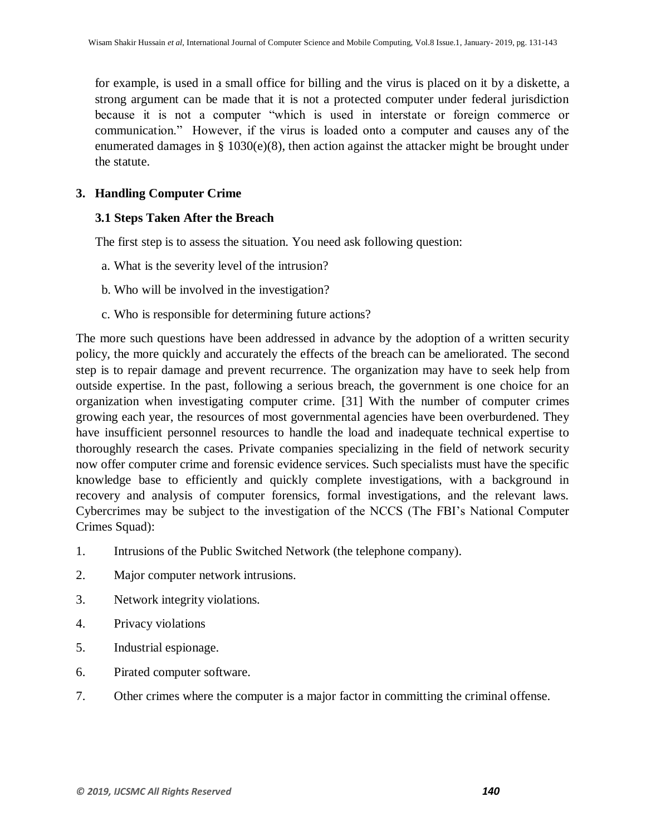for example, is used in a small office for billing and the virus is placed on it by a diskette, a strong argument can be made that it is not a protected computer under federal jurisdiction because it is not a computer "which is used in interstate or foreign commerce or communication." However, if the virus is loaded onto a computer and causes any of the enumerated damages in  $\S$  1030(e)(8), then action against the attacker might be brought under the statute.

# **3. Handling Computer Crime**

# **3.1 Steps Taken After the Breach**

The first step is to assess the situation. You need ask following question:

- a. What is the severity level of the intrusion?
- b. Who will be involved in the investigation?
- c. Who is responsible for determining future actions?

The more such questions have been addressed in advance by the adoption of a written security policy, the more quickly and accurately the effects of the breach can be ameliorated. The second step is to repair damage and prevent recurrence. The organization may have to seek help from outside expertise. In the past, following a serious breach, the government is one choice for an organization when investigating computer crime. [31] With the number of computer crimes growing each year, the resources of most governmental agencies have been overburdened. They have insufficient personnel resources to handle the load and inadequate technical expertise to thoroughly research the cases. Private companies specializing in the field of network security now offer computer crime and forensic evidence services. Such specialists must have the specific knowledge base to efficiently and quickly complete investigations, with a background in recovery and analysis of computer forensics, formal investigations, and the relevant laws. Cybercrimes may be subject to the investigation of the NCCS (The FBI's National Computer Crimes Squad):

- 1. Intrusions of the Public Switched Network (the telephone company).
- 2. Major computer network intrusions.
- 3. Network integrity violations.
- 4. Privacy violations
- 5. Industrial espionage.
- 6. Pirated computer software.
- 7. Other crimes where the computer is a major factor in committing the criminal offense.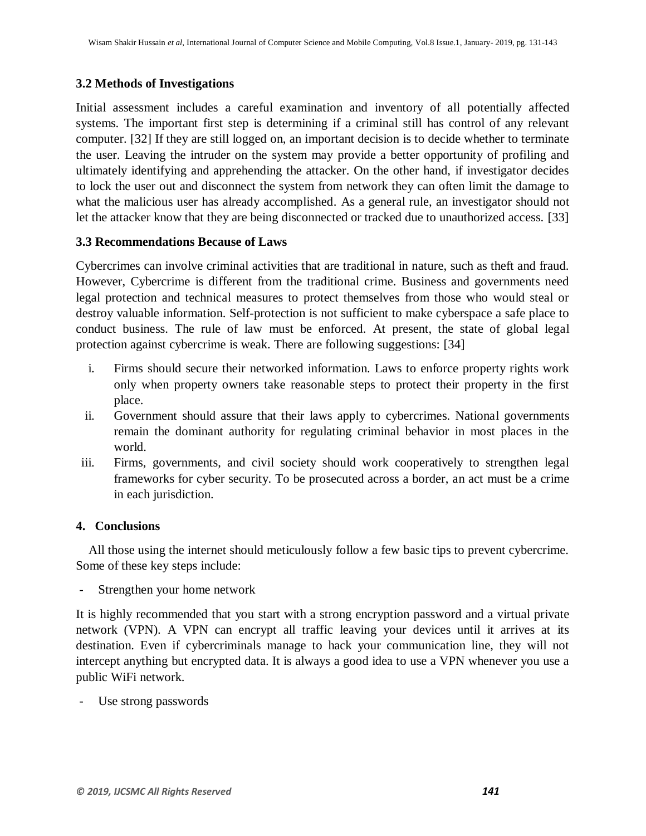# **3.2 Methods of Investigations**

Initial assessment includes a careful examination and inventory of all potentially affected systems. The important first step is determining if a criminal still has control of any relevant computer. [32] If they are still logged on, an important decision is to decide whether to terminate the user. Leaving the intruder on the system may provide a better opportunity of profiling and ultimately identifying and apprehending the attacker. On the other hand, if investigator decides to lock the user out and disconnect the system from network they can often limit the damage to what the malicious user has already accomplished. As a general rule, an investigator should not let the attacker know that they are being disconnected or tracked due to unauthorized access. [33]

# **3.3 Recommendations Because of Laws**

Cybercrimes can involve criminal activities that are traditional in nature, such as theft and fraud. However, Cybercrime is different from the traditional crime. Business and governments need legal protection and technical measures to protect themselves from those who would steal or destroy valuable information. Self-protection is not sufficient to make cyberspace a safe place to conduct business. The rule of law must be enforced. At present, the state of global legal protection against cybercrime is weak. There are following suggestions: [34]

- i. Firms should secure their networked information. Laws to enforce property rights work only when property owners take reasonable steps to protect their property in the first place.
- ii. Government should assure that their laws apply to cybercrimes. National governments remain the dominant authority for regulating criminal behavior in most places in the world.
- iii. Firms, governments, and civil society should work cooperatively to strengthen legal frameworks for cyber security. To be prosecuted across a border, an act must be a crime in each jurisdiction.

#### **4. Conclusions**

 All those using the internet should meticulously follow a few basic tips to prevent cybercrime. Some of these key steps include:

Strengthen your home network

It is highly recommended that you start with a strong encryption password and a virtual private network (VPN). A VPN can encrypt all traffic leaving your devices until it arrives at its destination. Even if cybercriminals manage to hack your communication line, they will not intercept anything but encrypted data. It is always a good idea to use a VPN whenever you use a public WiFi network.

Use strong passwords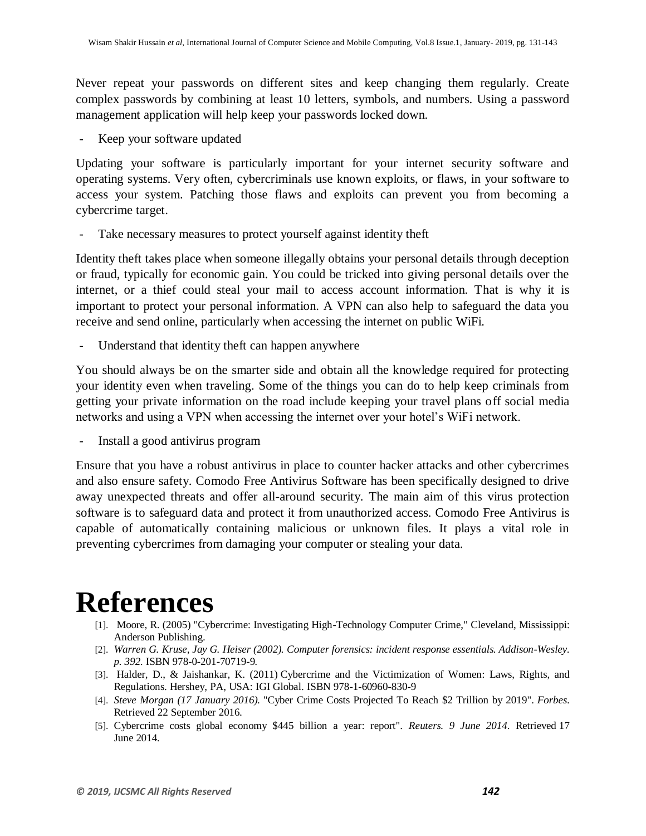Never repeat your passwords on different sites and keep changing them regularly. Create complex passwords by combining at least 10 letters, symbols, and numbers. Using a password management application will help keep your passwords locked down.

- Keep your software updated

Updating your software is particularly important for your internet security software and operating systems. Very often, cybercriminals use known exploits, or flaws, in your software to access your system. Patching those flaws and exploits can prevent you from becoming a cybercrime target.

Take necessary measures to protect yourself against identity theft

Identity theft takes place when someone illegally obtains your personal details through deception or fraud, typically for economic gain. You could be tricked into giving personal details over the internet, or a thief could steal your mail to access account information. That is why it is important to protect your personal information. A VPN can also help to safeguard the data you receive and send online, particularly when accessing the internet on public WiFi.

Understand that identity theft can happen anywhere

You should always be on the smarter side and obtain all the knowledge required for protecting your identity even when traveling. Some of the things you can do to help keep criminals from getting your private information on the road include keeping your travel plans off social media networks and using a VPN when accessing the internet over your hotel's WiFi network.

- Install a good antivirus program

Ensure that you have a robust antivirus in place to counter hacker attacks and other cybercrimes and also ensure safety. Comodo Free Antivirus Software has been specifically designed to drive away unexpected threats and offer all-around security. The main aim of this virus protection software is to safeguard data and protect it from unauthorized access. Comodo Free Antivirus is capable of automatically containing malicious or unknown files. It plays a vital role in preventing cybercrimes from damaging your computer or stealing your data.

# **References**

- [1]. Moore, R. (2005) "Cybercrime: Investigating High-Technology Computer Crime," Cleveland, Mississippi: Anderson Publishing.
- [2]. *Warren G. Kruse, Jay G. Heiser (2002). Computer forensics: incident response essentials. Addison-Wesley. p. 392.* [ISBN](https://en.wikipedia.org/wiki/International_Standard_Book_Number) [978-0-201-70719-9](https://en.wikipedia.org/wiki/Special:BookSources/978-0-201-70719-9)*.*
- [3]. Halder, D., & Jaishankar, K. (2011) [Cybercrime and the Victimization of Women: Laws, Rights, and](https://www.igi-global.com/book/cyber-crime-victimization-women/50518)  [Regulations.](https://www.igi-global.com/book/cyber-crime-victimization-women/50518) Hershey, PA, USA: IGI Global. [ISBN](https://en.wikipedia.org/wiki/International_Standard_Book_Number) [978-1-60960-830-9](https://en.wikipedia.org/wiki/Special:BookSources/978-1-60960-830-9)
- [4]. *Steve Morgan (17 January 2016).* ["Cyber Crime Costs Projected To Reach \\$2 Trillion by 2019"](https://www.forbes.com/sites/stevemorgan/2016/01/17/cyber-crime-costs-projected-to-reach-2-trillion-by-2019/#512c9d863bb0)*. Forbes*. Retrieved 22 September 2016*.*
- [5]. [Cybercrime costs global economy \\$445 billion a year: report"](https://www.reuters.com/article/2014/06/09/us-cybersecurity-mcafee-csis-idUSKBN0EK0SV20140609)*. Reuters. 9 June 2014*. Retrieved 17 June 2014*.*